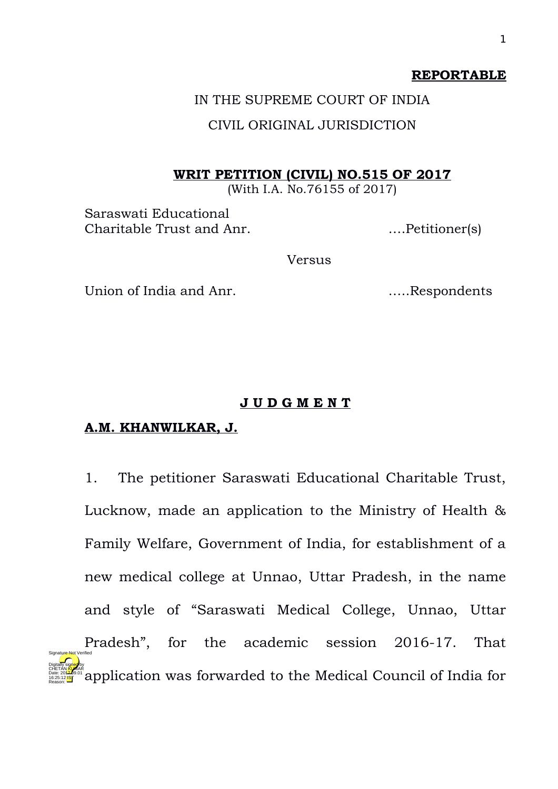#### **REPORTABLE**

# IN THE SUPREME COURT OF INDIA CIVIL ORIGINAL JURISDICTION

#### **WRIT PETITION (CIVIL) NO.515 OF 2017**

(With I.A. No.76155 of 2017)

Saraswati Educational Charitable Trust and Anr. ….Petitioner(s)

Versus

Union of India and Anr. …..Respondents

#### **J U D G M E N T**

### **A.M. KHANWILKAR, J.**

16:25:12 IST Reason:

1. The petitioner Saraswati Educational Charitable Trust, Lucknow, made an application to the Ministry of Health & Family Welfare, Government of India, for establishment of a new medical college at Unnao, Uttar Pradesh, in the name and style of "Saraswati Medical College, Unnao, Uttar Pradesh", for the academic session 2016-17. That application was forwarded to the Medical Council of India for Digitally signed by CHETAN <mark>KU</mark>MAR Date: 2017.09.01 Signature Not Verified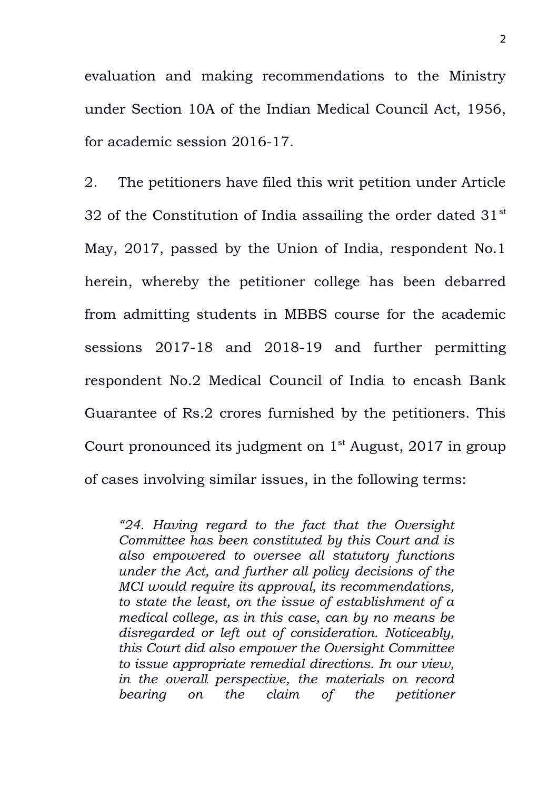evaluation and making recommendations to the Ministry under Section 10A of the Indian Medical Council Act, 1956, for academic session 2016-17.

2. The petitioners have filed this writ petition under Article 32 of the Constitution of India assailing the order dated  $31<sup>st</sup>$ May, 2017, passed by the Union of India, respondent No.1 herein, whereby the petitioner college has been debarred from admitting students in MBBS course for the academic sessions 2017-18 and 2018-19 and further permitting respondent No.2 Medical Council of India to encash Bank Guarantee of Rs.2 crores furnished by the petitioners. This Court pronounced its judgment on  $1<sup>st</sup>$  August, 2017 in group of cases involving similar issues, in the following terms:

*"24. Having regard to the fact that the Oversight Committee has been constituted by this Court and is also empowered to oversee all statutory functions under the Act, and further all policy decisions of the MCI would require its approval, its recommendations, to state the least, on the issue of establishment of a medical college, as in this case, can by no means be disregarded or left out of consideration. Noticeably, this Court did also empower the Oversight Committee to issue appropriate remedial directions. In our view, in the overall perspective, the materials on record bearing on the claim of the petitioner*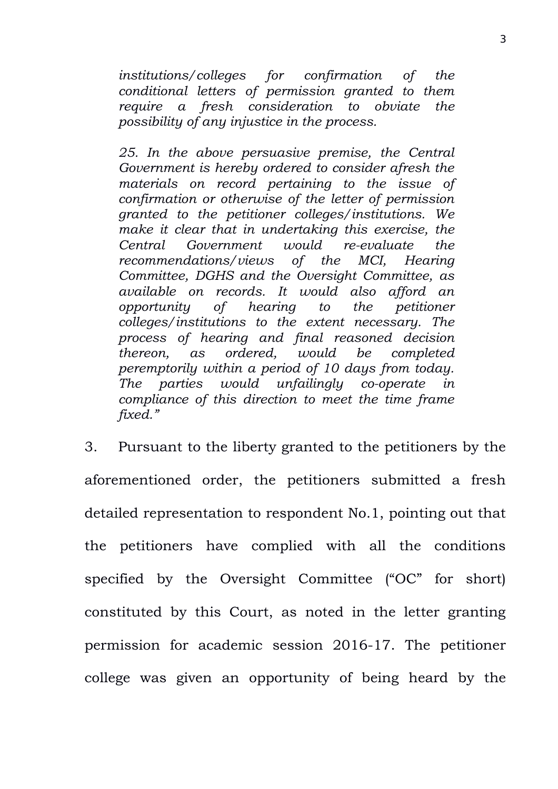*institutions/colleges for confirmation of the conditional letters of permission granted to them require a fresh consideration to obviate the possibility of any injustice in the process.*

*25. In the above persuasive premise, the Central Government is hereby ordered to consider afresh the materials on record pertaining to the issue of confirmation or otherwise of the letter of permission granted to the petitioner colleges/institutions. We make it clear that in undertaking this exercise, the Central Government would re-evaluate the recommendations/views of the MCI, Hearing Committee, DGHS and the Oversight Committee, as available on records. It would also afford an opportunity of hearing to the petitioner colleges/institutions to the extent necessary. The process of hearing and final reasoned decision thereon, as ordered, would be completed peremptorily within a period of 10 days from today. The parties would unfailingly co-operate in compliance of this direction to meet the time frame fixed."*

3. Pursuant to the liberty granted to the petitioners by the aforementioned order, the petitioners submitted a fresh detailed representation to respondent No.1, pointing out that the petitioners have complied with all the conditions specified by the Oversight Committee ("OC" for short) constituted by this Court, as noted in the letter granting permission for academic session 2016-17. The petitioner college was given an opportunity of being heard by the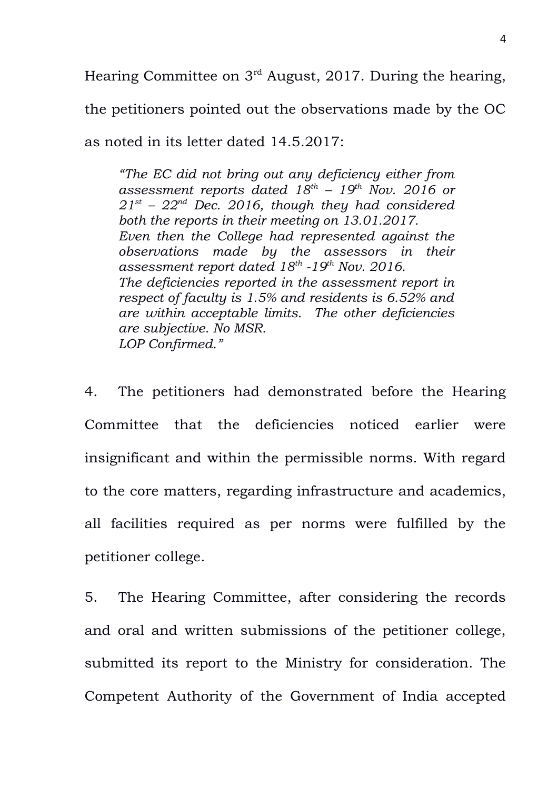Hearing Committee on 3rd August, 2017. During the hearing,

the petitioners pointed out the observations made by the OC

as noted in its letter dated 14.5.2017:

*"The EC did not bring out any deficiency either from assessment reports dated 18th – 19th Nov. 2016 or 21st – 22nd Dec. 2016, though they had considered both the reports in their meeting on 13.01.2017. Even then the College had represented against the observations made by the assessors in their assessment report dated 18th -19th Nov. 2016. The deficiencies reported in the assessment report in respect of faculty is 1.5% and residents is 6.52% and are within acceptable limits. The other deficiencies are subjective. No MSR. LOP Confirmed."*

4. The petitioners had demonstrated before the Hearing Committee that the deficiencies noticed earlier were insignificant and within the permissible norms. With regard to the core matters, regarding infrastructure and academics, all facilities required as per norms were fulfilled by the petitioner college.

5. The Hearing Committee, after considering the records and oral and written submissions of the petitioner college, submitted its report to the Ministry for consideration. The Competent Authority of the Government of India accepted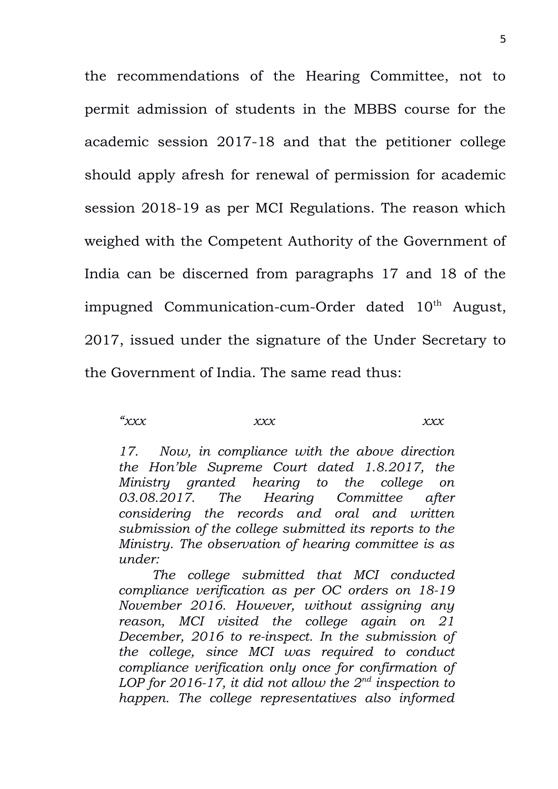the recommendations of the Hearing Committee, not to permit admission of students in the MBBS course for the academic session 2017-18 and that the petitioner college should apply afresh for renewal of permission for academic session 2018-19 as per MCI Regulations. The reason which weighed with the Competent Authority of the Government of India can be discerned from paragraphs 17 and 18 of the impugned Communication-cum-Order dated  $10<sup>th</sup>$  August, 2017, issued under the signature of the Under Secretary to the Government of India. The same read thus:

*"xxx xxx xxx*

*17. Now, in compliance with the above direction the Hon'ble Supreme Court dated 1.8.2017, the Ministry granted hearing to the college on 03.08.2017. The Hearing Committee after considering the records and oral and written submission of the college submitted its reports to the Ministry. The observation of hearing committee is as under:*

*The college submitted that MCI conducted compliance verification as per OC orders on 18-19 November 2016. However, without assigning any reason, MCI visited the college again on 21 December, 2016 to re-inspect. In the submission of the college, since MCI was required to conduct compliance verification only once for confirmation of LOP for 2016-17, it did not allow the 2nd inspection to happen. The college representatives also informed*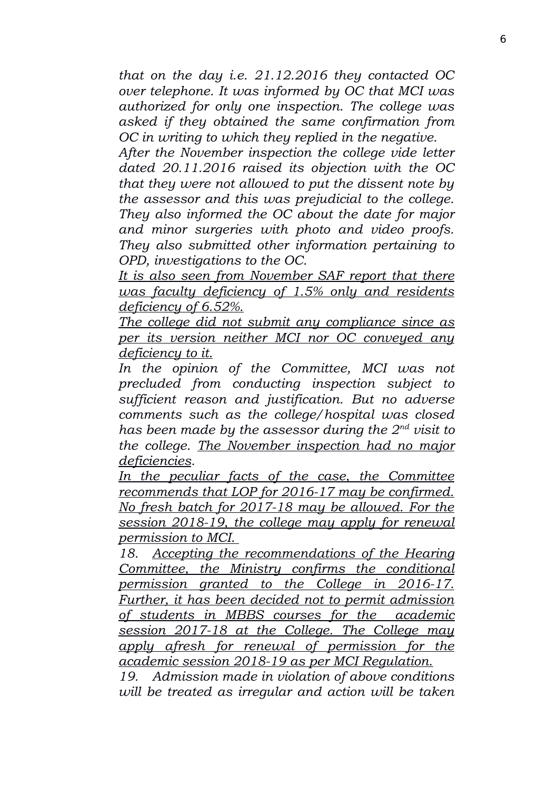*that on the day i.e. 21.12.2016 they contacted OC over telephone. It was informed by OC that MCI was authorized for only one inspection. The college was asked if they obtained the same confirmation from OC in writing to which they replied in the negative.* 

*After the November inspection the college vide letter dated 20.11.2016 raised its objection with the OC that they were not allowed to put the dissent note by the assessor and this was prejudicial to the college. They also informed the OC about the date for major and minor surgeries with photo and video proofs. They also submitted other information pertaining to OPD, investigations to the OC.* 

*It is also seen from November SAF report that there was faculty deficiency of 1.5% only and residents deficiency of 6.52%.*

*The college did not submit any compliance since as per its version neither MCI nor OC conveyed any deficiency to it.*

*In the opinion of the Committee, MCI was not precluded from conducting inspection subject to sufficient reason and justification. But no adverse comments such as the college/hospital was closed has been made by the assessor during the 2nd visit to the college. The November inspection had no major deficiencies.*

*In the peculiar facts of the case, the Committee recommends that LOP for 2016-17 may be confirmed. No fresh batch for 2017-18 may be allowed. For the session 2018-19, the college may apply for renewal permission to MCI.* 

*18. Accepting the recommendations of the Hearing Committee, the Ministry confirms the conditional permission granted to the College in 2016-17. Further, it has been decided not to permit admission of students in MBBS courses for the academic session 2017-18 at the College. The College may apply afresh for renewal of permission for the academic session 2018-19 as per MCI Regulation.*

*19. Admission made in violation of above conditions will be treated as irregular and action will be taken*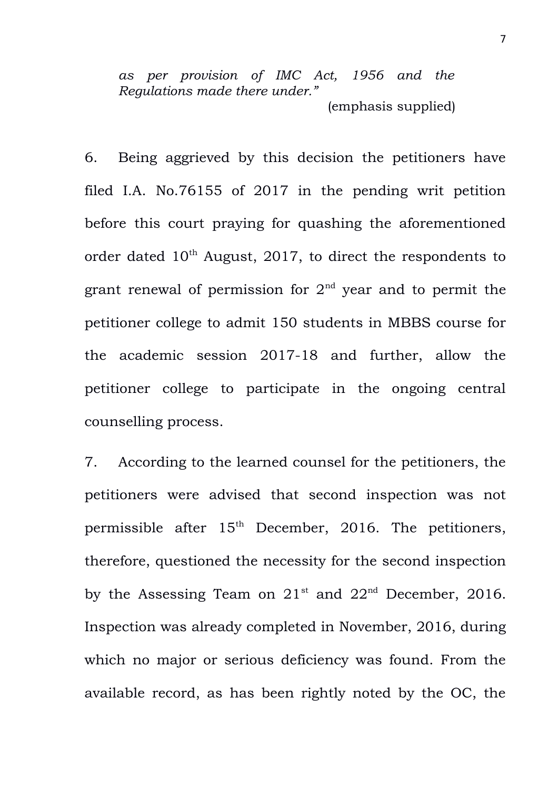*as per provision of IMC Act, 1956 and the Regulations made there under."* (emphasis supplied)

6. Being aggrieved by this decision the petitioners have filed I.A. No.76155 of 2017 in the pending writ petition before this court praying for quashing the aforementioned order dated  $10<sup>th</sup>$  August, 2017, to direct the respondents to grant renewal of permission for  $2<sup>nd</sup>$  year and to permit the petitioner college to admit 150 students in MBBS course for the academic session 2017-18 and further, allow the petitioner college to participate in the ongoing central counselling process.

7. According to the learned counsel for the petitioners, the petitioners were advised that second inspection was not permissible after 15<sup>th</sup> December, 2016. The petitioners, therefore, questioned the necessity for the second inspection by the Assessing Team on  $21^{st}$  and  $22^{nd}$  December, 2016. Inspection was already completed in November, 2016, during which no major or serious deficiency was found. From the available record, as has been rightly noted by the OC, the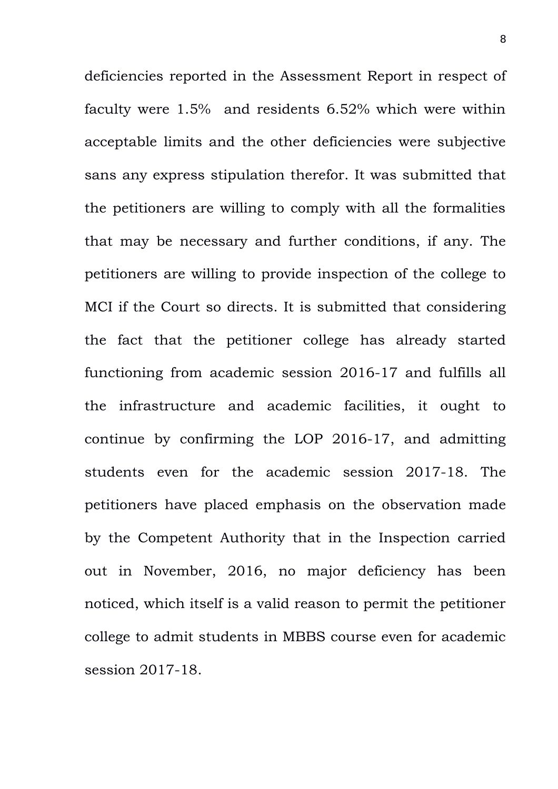deficiencies reported in the Assessment Report in respect of faculty were 1.5% and residents 6.52% which were within acceptable limits and the other deficiencies were subjective sans any express stipulation therefor. It was submitted that the petitioners are willing to comply with all the formalities that may be necessary and further conditions, if any. The petitioners are willing to provide inspection of the college to MCI if the Court so directs. It is submitted that considering the fact that the petitioner college has already started functioning from academic session 2016-17 and fulfills all the infrastructure and academic facilities, it ought to continue by confirming the LOP 2016-17, and admitting students even for the academic session 2017-18. The petitioners have placed emphasis on the observation made by the Competent Authority that in the Inspection carried out in November, 2016, no major deficiency has been noticed, which itself is a valid reason to permit the petitioner college to admit students in MBBS course even for academic session 2017-18.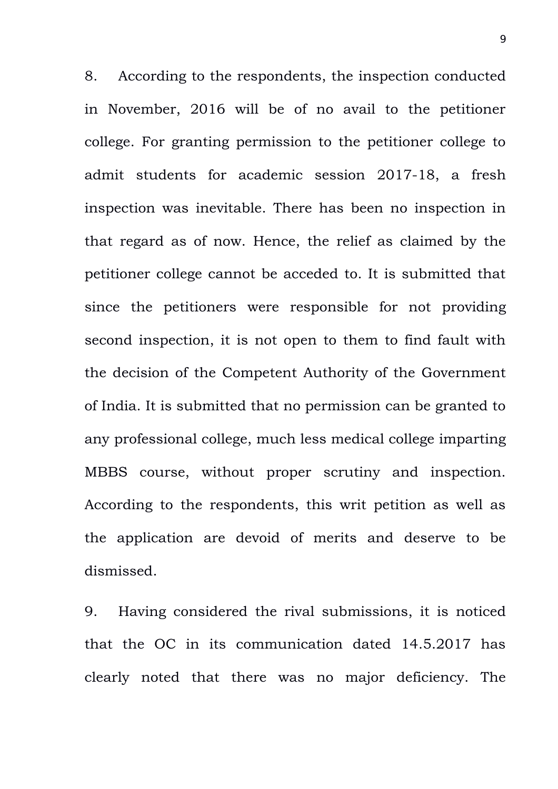8. According to the respondents, the inspection conducted in November, 2016 will be of no avail to the petitioner college. For granting permission to the petitioner college to admit students for academic session 2017-18, a fresh inspection was inevitable. There has been no inspection in that regard as of now. Hence, the relief as claimed by the petitioner college cannot be acceded to. It is submitted that since the petitioners were responsible for not providing second inspection, it is not open to them to find fault with the decision of the Competent Authority of the Government of India. It is submitted that no permission can be granted to any professional college, much less medical college imparting MBBS course, without proper scrutiny and inspection. According to the respondents, this writ petition as well as the application are devoid of merits and deserve to be dismissed.

9. Having considered the rival submissions, it is noticed that the OC in its communication dated 14.5.2017 has clearly noted that there was no major deficiency. The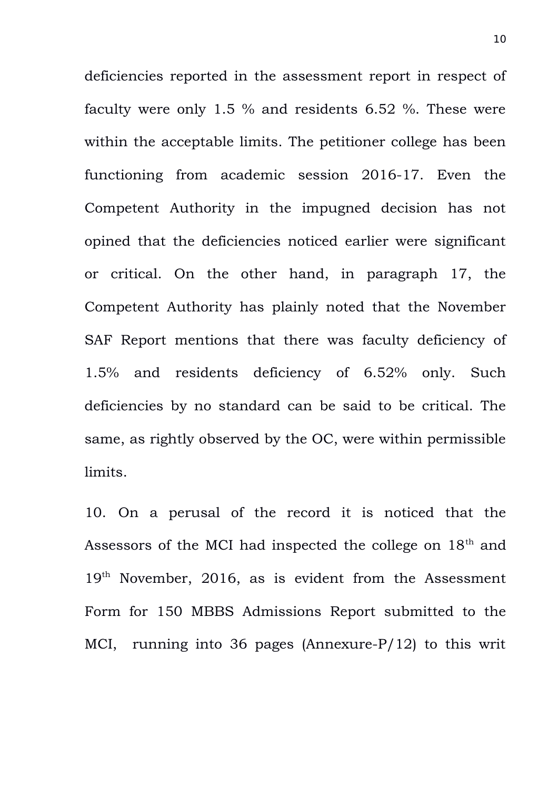deficiencies reported in the assessment report in respect of faculty were only 1.5 % and residents 6.52 %. These were within the acceptable limits. The petitioner college has been functioning from academic session 2016-17. Even the Competent Authority in the impugned decision has not opined that the deficiencies noticed earlier were significant or critical. On the other hand, in paragraph 17, the Competent Authority has plainly noted that the November SAF Report mentions that there was faculty deficiency of 1.5% and residents deficiency of 6.52% only. Such deficiencies by no standard can be said to be critical. The same, as rightly observed by the OC, were within permissible limits.

10. On a perusal of the record it is noticed that the Assessors of the MCI had inspected the college on 18<sup>th</sup> and 19<sup>th</sup> November, 2016, as is evident from the Assessment Form for 150 MBBS Admissions Report submitted to the MCI, running into 36 pages (Annexure-P/12) to this writ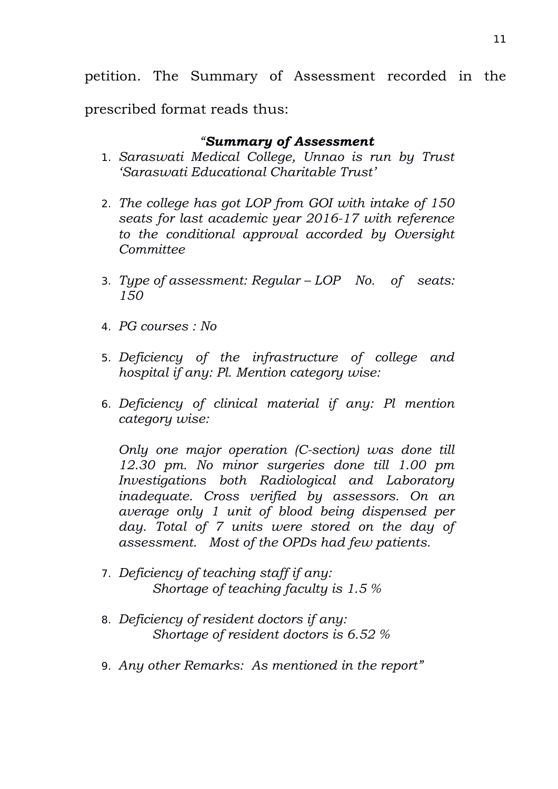petition. The Summary of Assessment recorded in the

prescribed format reads thus:

# *"Summary of Assessment*

- 1. *Saraswati Medical College, Unnao is run by Trust 'Saraswati Educational Charitable Trust'*
- 2. *The college has got LOP from GOI with intake of 150 seats for last academic year 2016-17 with reference to the conditional approval accorded by Oversight Committee*
- 3. *Type of assessment: Regular LOP No. of seats: 150*
- 4. *PG courses : No*
- 5. *Deficiency of the infrastructure of college and hospital if any: Pl. Mention category wise:*
- 6. *Deficiency of clinical material if any: Pl mention category wise:*

*Only one major operation (C-section) was done till 12.30 pm. No minor surgeries done till 1.00 pm Investigations both Radiological and Laboratory inadequate. Cross verified by assessors. On an average only 1 unit of blood being dispensed per day. Total of 7 units were stored on the day of assessment. Most of the OPDs had few patients.*

- 7. *Deficiency of teaching staff if any: Shortage of teaching faculty is 1.5 %*
- 8. *Deficiency of resident doctors if any: Shortage of resident doctors is 6.52 %*
- 9. *Any other Remarks: As mentioned in the report"*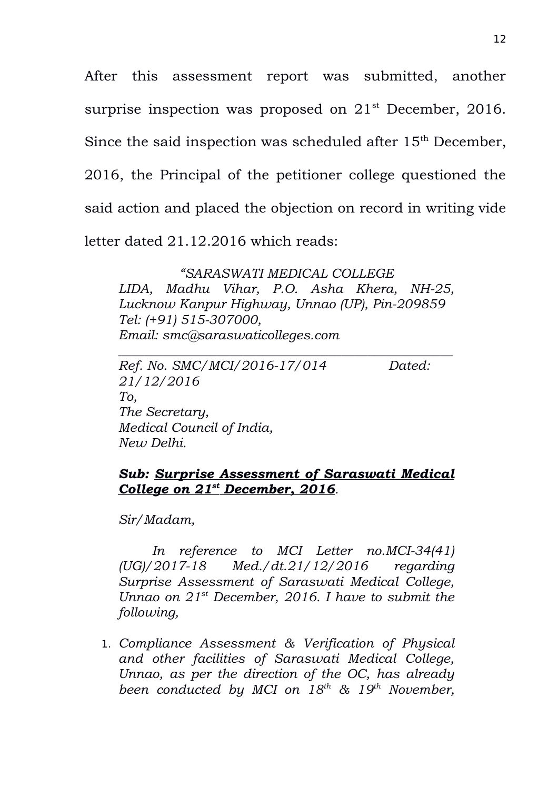After this assessment report was submitted, another surprise inspection was proposed on  $21<sup>st</sup>$  December, 2016. Since the said inspection was scheduled after 15<sup>th</sup> December, 2016, the Principal of the petitioner college questioned the said action and placed the objection on record in writing vide letter dated 21.12.2016 which reads:

*"SARASWATI MEDICAL COLLEGE*

*LIDA, Madhu Vihar, P.O. Asha Khera, NH-25, Lucknow Kanpur Highway, Unnao (UP), Pin-209859 Tel: (+91) 515-307000, Email: smc@saraswaticolleges.com*

*\_\_\_\_\_\_\_\_\_\_\_\_\_\_\_\_\_\_\_\_\_\_\_\_\_\_\_\_\_\_\_\_\_\_\_\_\_\_\_\_\_\_\_\_\_\_\_\_\_\_\_*

*Ref. No. SMC/MCI/2016-17/014 Dated: 21/12/2016 To, The Secretary, Medical Council of India, New Delhi.*

## *Sub: Surprise Assessment of Saraswati Medical College on 21st December, 2016.*

*Sir/Madam,*

*In reference to MCI Letter no.MCI-34(41) (UG)/2017-18 Med./dt.21/12/2016 regarding Surprise Assessment of Saraswati Medical College, Unnao on 21st December, 2016. I have to submit the following,*

1. *Compliance Assessment & Verification of Physical and other facilities of Saraswati Medical College, Unnao, as per the direction of the OC, has already been conducted by MCI on 18th & 19th November,*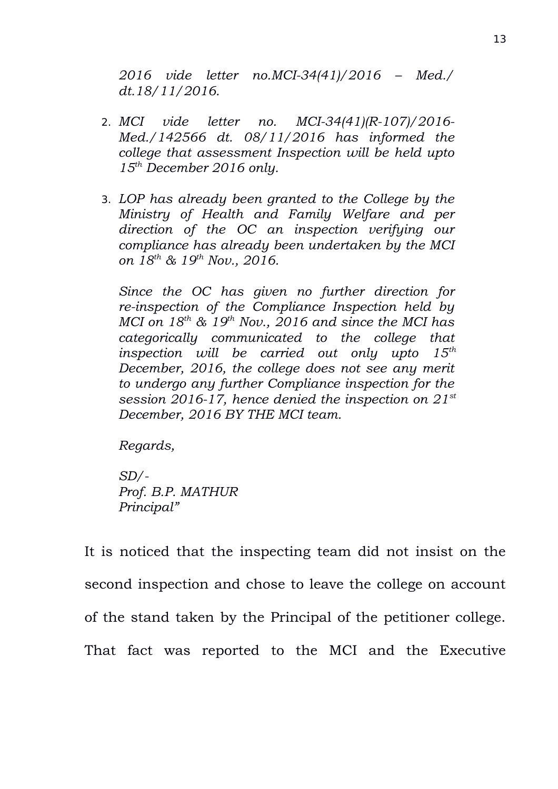*2016 vide letter no.MCI-34(41)/2016 – Med./ dt.18/11/2016.*

- 2. *MCI vide letter no. MCI-34(41)(R-107)/2016- Med./142566 dt. 08/11/2016 has informed the college that assessment Inspection will be held upto 15th December 2016 only.*
- 3. *LOP has already been granted to the College by the Ministry of Health and Family Welfare and per direction of the OC an inspection verifying our compliance has already been undertaken by the MCI on 18th & 19th Nov., 2016.*

*Since the OC has given no further direction for re-inspection of the Compliance Inspection held by MCI on 18th & 19th Nov., 2016 and since the MCI has categorically communicated to the college that inspection will be carried out only upto 15th December, 2016, the college does not see any merit to undergo any further Compliance inspection for the session 2016-17, hence denied the inspection on 21st December, 2016 BY THE MCI team.*

*Regards,*

*SD/- Prof. B.P. MATHUR Principal"*

It is noticed that the inspecting team did not insist on the second inspection and chose to leave the college on account of the stand taken by the Principal of the petitioner college. That fact was reported to the MCI and the Executive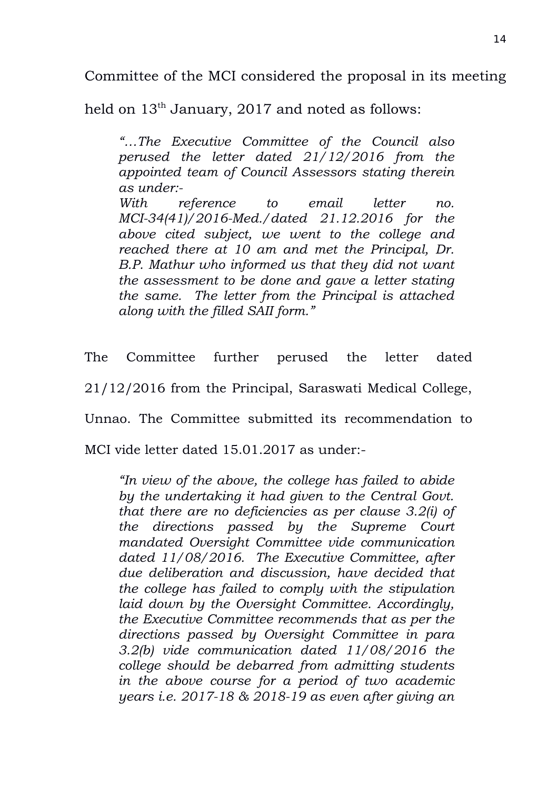Committee of the MCI considered the proposal in its meeting

held on  $13<sup>th</sup>$  January, 2017 and noted as follows:

*"…The Executive Committee of the Council also perused the letter dated 21/12/2016 from the appointed team of Council Assessors stating therein as under:-*

*With reference to email letter no. MCI-34(41)/2016-Med./dated 21.12.2016 for the above cited subject, we went to the college and reached there at 10 am and met the Principal, Dr. B.P. Mathur who informed us that they did not want the assessment to be done and gave a letter stating the same. The letter from the Principal is attached along with the filled SAII form."*

The Committee further perused the letter dated 21/12/2016 from the Principal, Saraswati Medical College, Unnao. The Committee submitted its recommendation to

MCI vide letter dated 15.01.2017 as under:-

*"In view of the above, the college has failed to abide by the undertaking it had given to the Central Govt. that there are no deficiencies as per clause 3.2(i) of the directions passed by the Supreme Court mandated Oversight Committee vide communication dated 11/08/2016. The Executive Committee, after due deliberation and discussion, have decided that the college has failed to comply with the stipulation laid down by the Oversight Committee. Accordingly, the Executive Committee recommends that as per the directions passed by Oversight Committee in para 3.2(b) vide communication dated 11/08/2016 the college should be debarred from admitting students in the above course for a period of two academic years i.e. 2017-18 & 2018-19 as even after giving an*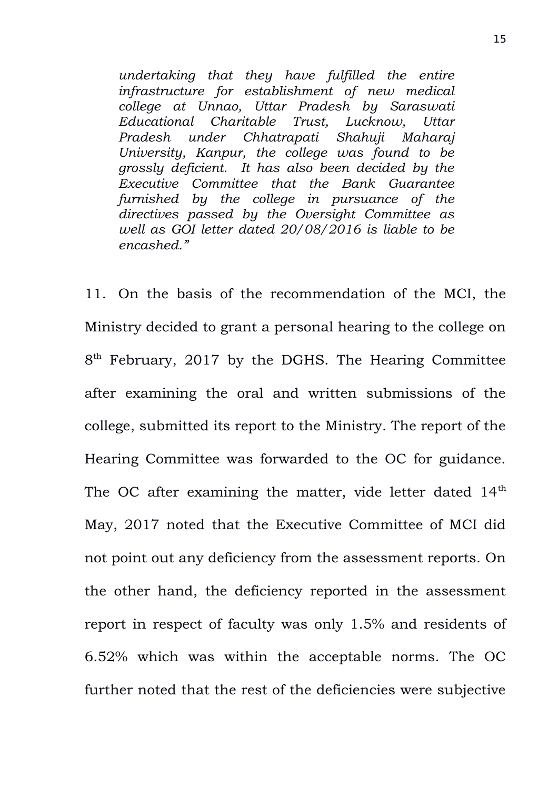*undertaking that they have fulfilled the entire infrastructure for establishment of new medical college at Unnao, Uttar Pradesh by Saraswati Educational Charitable Trust, Lucknow, Uttar Pradesh under Chhatrapati Shahuji Maharaj University, Kanpur, the college was found to be grossly deficient. It has also been decided by the Executive Committee that the Bank Guarantee furnished by the college in pursuance of the directives passed by the Oversight Committee as well as GOI letter dated 20/08/2016 is liable to be encashed."*

11. On the basis of the recommendation of the MCI, the Ministry decided to grant a personal hearing to the college on 8<sup>th</sup> February, 2017 by the DGHS. The Hearing Committee after examining the oral and written submissions of the college, submitted its report to the Ministry. The report of the Hearing Committee was forwarded to the OC for guidance. The OC after examining the matter, vide letter dated 14<sup>th</sup> May, 2017 noted that the Executive Committee of MCI did not point out any deficiency from the assessment reports. On the other hand, the deficiency reported in the assessment report in respect of faculty was only 1.5% and residents of 6.52% which was within the acceptable norms. The OC further noted that the rest of the deficiencies were subjective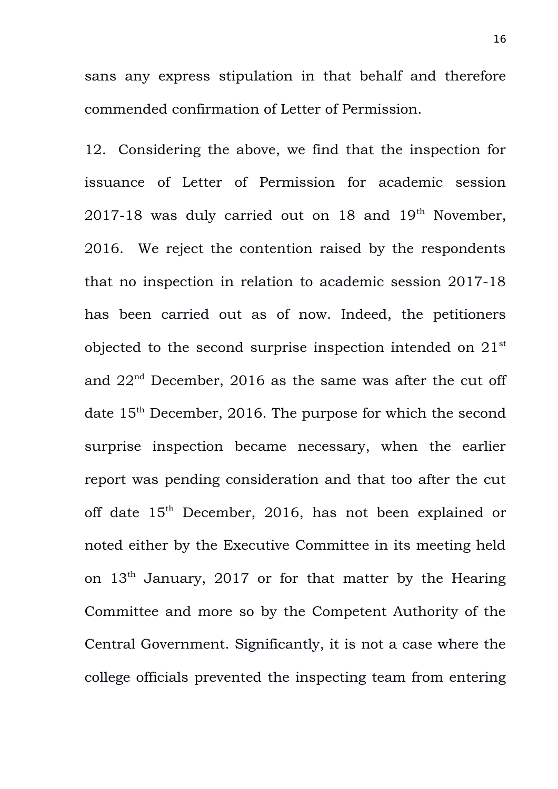sans any express stipulation in that behalf and therefore commended confirmation of Letter of Permission.

12. Considering the above, we find that the inspection for issuance of Letter of Permission for academic session 2017-18 was duly carried out on 18 and  $19<sup>th</sup>$  November, 2016. We reject the contention raised by the respondents that no inspection in relation to academic session 2017-18 has been carried out as of now. Indeed, the petitioners objected to the second surprise inspection intended on 21st and  $22<sup>nd</sup>$  December, 2016 as the same was after the cut off date  $15<sup>th</sup>$  December, 2016. The purpose for which the second surprise inspection became necessary, when the earlier report was pending consideration and that too after the cut off date 15<sup>th</sup> December, 2016, has not been explained or noted either by the Executive Committee in its meeting held on  $13<sup>th</sup>$  January, 2017 or for that matter by the Hearing Committee and more so by the Competent Authority of the Central Government. Significantly, it is not a case where the college officials prevented the inspecting team from entering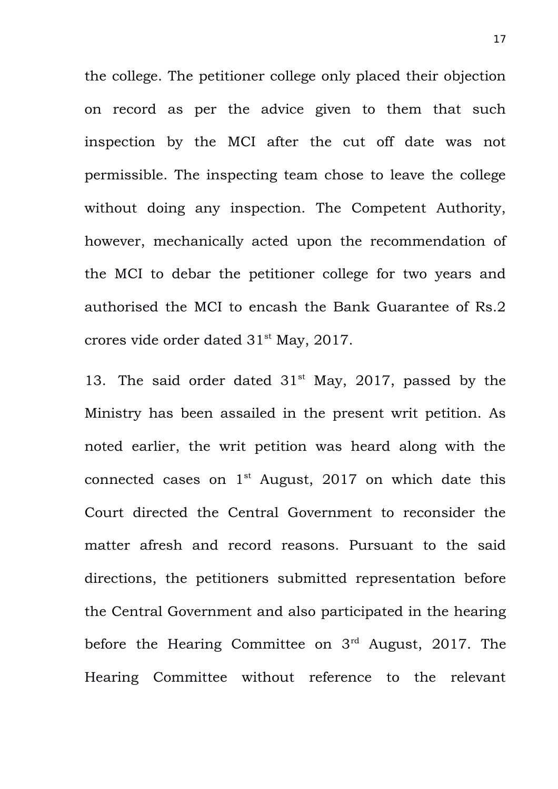the college. The petitioner college only placed their objection on record as per the advice given to them that such inspection by the MCI after the cut off date was not permissible. The inspecting team chose to leave the college without doing any inspection. The Competent Authority, however, mechanically acted upon the recommendation of the MCI to debar the petitioner college for two years and authorised the MCI to encash the Bank Guarantee of Rs.2 crores vide order dated 31st May, 2017.

13. The said order dated  $31<sup>st</sup>$  May, 2017, passed by the Ministry has been assailed in the present writ petition. As noted earlier, the writ petition was heard along with the connected cases on  $1<sup>st</sup>$  August, 2017 on which date this Court directed the Central Government to reconsider the matter afresh and record reasons. Pursuant to the said directions, the petitioners submitted representation before the Central Government and also participated in the hearing before the Hearing Committee on 3rd August, 2017. The Hearing Committee without reference to the relevant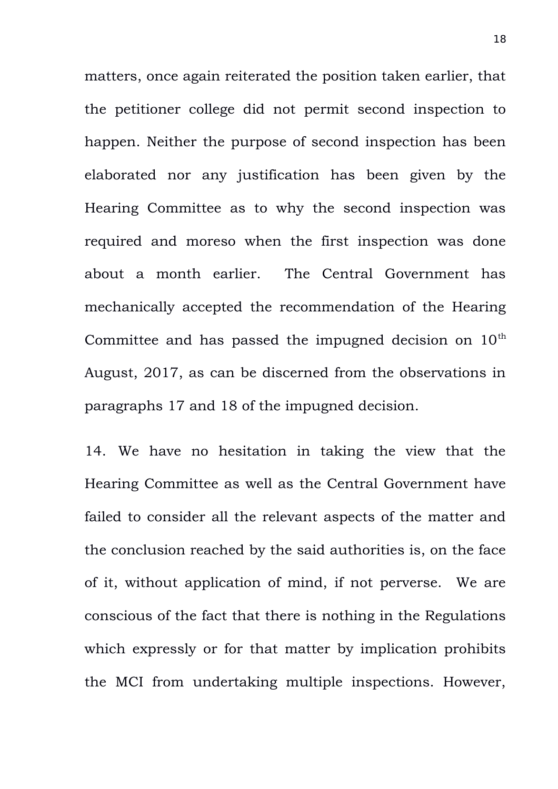matters, once again reiterated the position taken earlier, that the petitioner college did not permit second inspection to happen. Neither the purpose of second inspection has been elaborated nor any justification has been given by the Hearing Committee as to why the second inspection was required and moreso when the first inspection was done about a month earlier. The Central Government has mechanically accepted the recommendation of the Hearing Committee and has passed the impugned decision on  $10<sup>th</sup>$ August, 2017, as can be discerned from the observations in paragraphs 17 and 18 of the impugned decision.

14. We have no hesitation in taking the view that the Hearing Committee as well as the Central Government have failed to consider all the relevant aspects of the matter and the conclusion reached by the said authorities is, on the face of it, without application of mind, if not perverse. We are conscious of the fact that there is nothing in the Regulations which expressly or for that matter by implication prohibits the MCI from undertaking multiple inspections. However,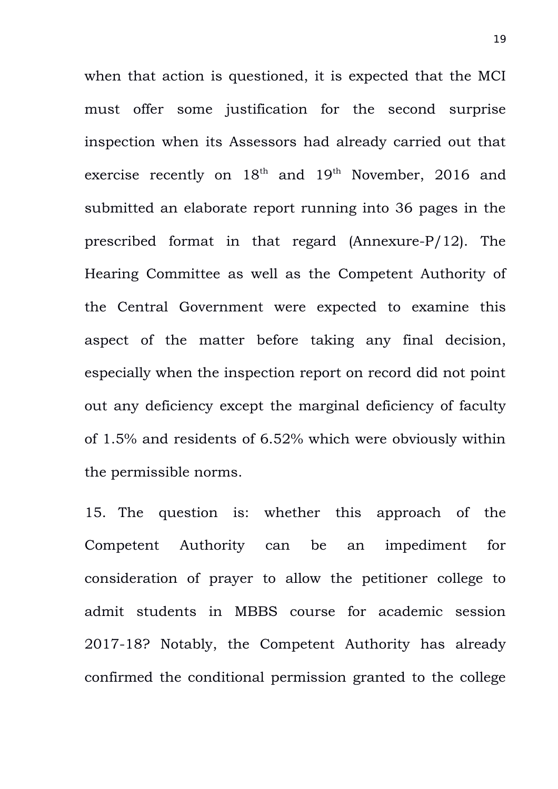when that action is questioned, it is expected that the MCI must offer some justification for the second surprise inspection when its Assessors had already carried out that exercise recently on  $18<sup>th</sup>$  and  $19<sup>th</sup>$  November, 2016 and submitted an elaborate report running into 36 pages in the prescribed format in that regard (Annexure-P/12). The Hearing Committee as well as the Competent Authority of the Central Government were expected to examine this aspect of the matter before taking any final decision, especially when the inspection report on record did not point out any deficiency except the marginal deficiency of faculty of 1.5% and residents of 6.52% which were obviously within the permissible norms.

15. The question is: whether this approach of the Competent Authority can be an impediment for consideration of prayer to allow the petitioner college to admit students in MBBS course for academic session 2017-18? Notably, the Competent Authority has already confirmed the conditional permission granted to the college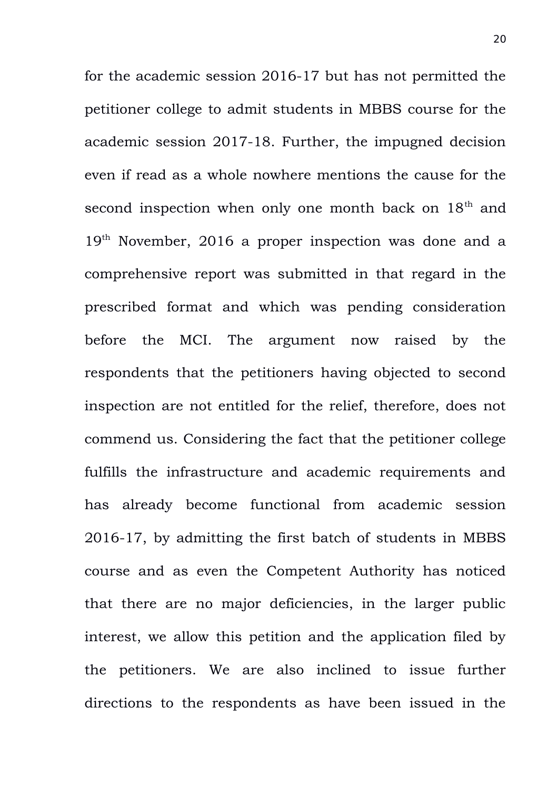for the academic session 2016-17 but has not permitted the petitioner college to admit students in MBBS course for the academic session 2017-18. Further, the impugned decision even if read as a whole nowhere mentions the cause for the second inspection when only one month back on  $18<sup>th</sup>$  and 19<sup>th</sup> November, 2016 a proper inspection was done and a comprehensive report was submitted in that regard in the prescribed format and which was pending consideration before the MCI. The argument now raised by the respondents that the petitioners having objected to second inspection are not entitled for the relief, therefore, does not commend us. Considering the fact that the petitioner college fulfills the infrastructure and academic requirements and has already become functional from academic session 2016-17, by admitting the first batch of students in MBBS course and as even the Competent Authority has noticed that there are no major deficiencies, in the larger public interest, we allow this petition and the application filed by the petitioners. We are also inclined to issue further directions to the respondents as have been issued in the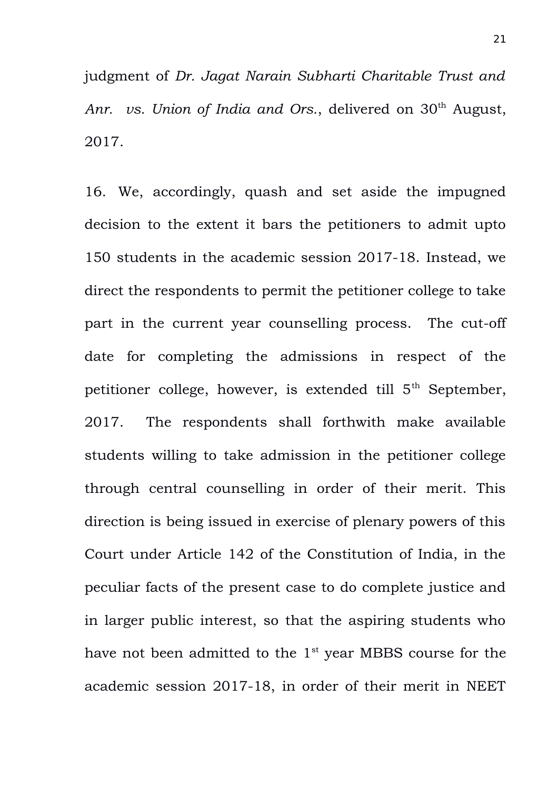judgment of *Dr. Jagat Narain Subharti Charitable Trust and* Anr. vs. Union of India and Ors., delivered on 30<sup>th</sup> August, 2017.

16. We, accordingly, quash and set aside the impugned decision to the extent it bars the petitioners to admit upto 150 students in the academic session 2017-18. Instead, we direct the respondents to permit the petitioner college to take part in the current year counselling process. The cut-off date for completing the admissions in respect of the petitioner college, however, is extended till 5<sup>th</sup> September, 2017. The respondents shall forthwith make available students willing to take admission in the petitioner college through central counselling in order of their merit. This direction is being issued in exercise of plenary powers of this Court under Article 142 of the Constitution of India, in the peculiar facts of the present case to do complete justice and in larger public interest, so that the aspiring students who have not been admitted to the  $1<sup>st</sup>$  year MBBS course for the academic session 2017-18, in order of their merit in NEET